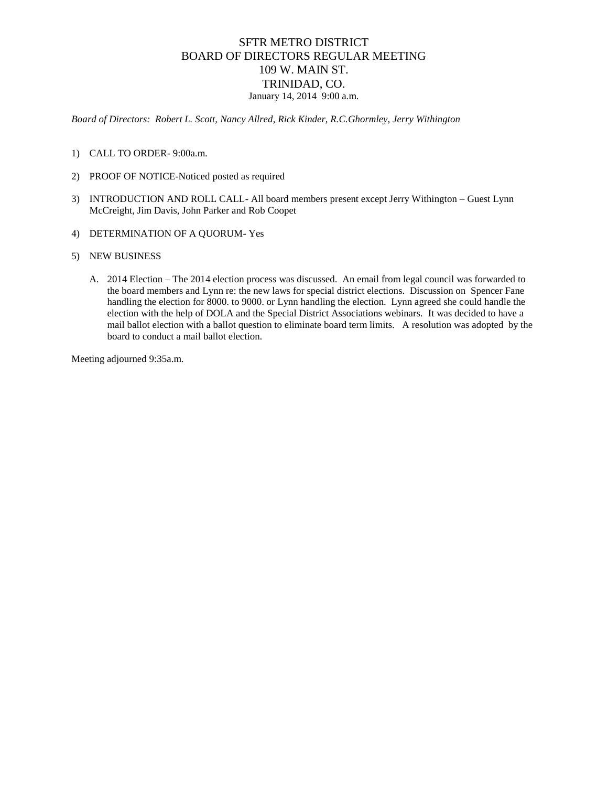#### SFTR METRO DISTRICT BOARD OF DIRECTORS REGULAR MEETING 109 W. MAIN ST. TRINIDAD, CO. January 14, 2014 9:00 a.m.

*Board of Directors: Robert L. Scott, Nancy Allred, Rick Kinder, R.C.Ghormley, Jerry Withington*

- 1) CALL TO ORDER- 9:00a.m.
- 2) PROOF OF NOTICE-Noticed posted as required
- 3) INTRODUCTION AND ROLL CALL- All board members present except Jerry Withington Guest Lynn McCreight, Jim Davis, John Parker and Rob Coopet
- 4) DETERMINATION OF A QUORUM- Yes
- 5) NEW BUSINESS
	- A. 2014 Election The 2014 election process was discussed. An email from legal council was forwarded to the board members and Lynn re: the new laws for special district elections. Discussion on Spencer Fane handling the election for 8000. to 9000. or Lynn handling the election. Lynn agreed she could handle the election with the help of DOLA and the Special District Associations webinars. It was decided to have a mail ballot election with a ballot question to eliminate board term limits. A resolution was adopted by the board to conduct a mail ballot election.

Meeting adjourned 9:35a.m.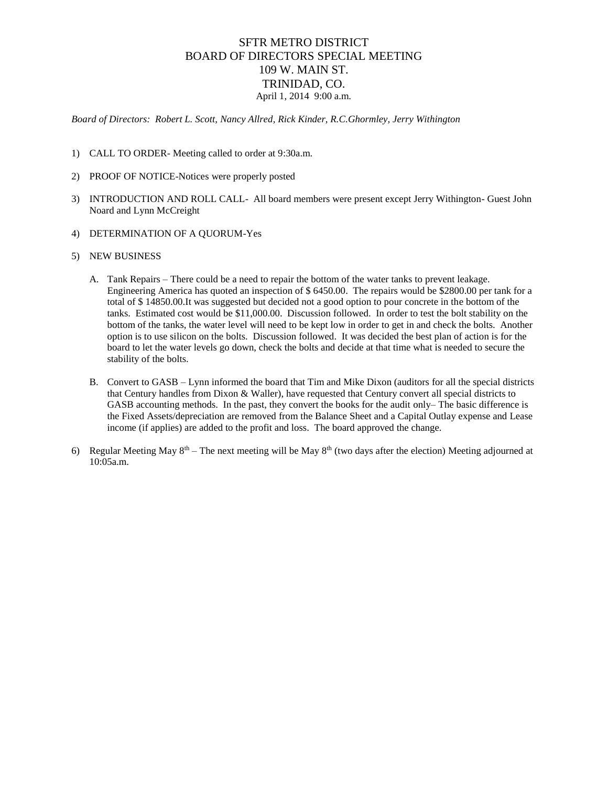#### SFTR METRO DISTRICT BOARD OF DIRECTORS SPECIAL MEETING 109 W. MAIN ST. TRINIDAD, CO. April 1, 2014 9:00 a.m.

*Board of Directors: Robert L. Scott, Nancy Allred, Rick Kinder, R.C.Ghormley, Jerry Withington*

- 1) CALL TO ORDER- Meeting called to order at 9:30a.m.
- 2) PROOF OF NOTICE-Notices were properly posted
- 3) INTRODUCTION AND ROLL CALL- All board members were present except Jerry Withington- Guest John Noard and Lynn McCreight
- 4) DETERMINATION OF A QUORUM-Yes
- 5) NEW BUSINESS
	- A. Tank Repairs There could be a need to repair the bottom of the water tanks to prevent leakage. Engineering America has quoted an inspection of \$ 6450.00. The repairs would be \$2800.00 per tank for a total of \$ 14850.00.It was suggested but decided not a good option to pour concrete in the bottom of the tanks. Estimated cost would be \$11,000.00. Discussion followed. In order to test the bolt stability on the bottom of the tanks, the water level will need to be kept low in order to get in and check the bolts. Another option is to use silicon on the bolts. Discussion followed. It was decided the best plan of action is for the board to let the water levels go down, check the bolts and decide at that time what is needed to secure the stability of the bolts.
	- B. Convert to GASB Lynn informed the board that Tim and Mike Dixon (auditors for all the special districts that Century handles from Dixon & Waller), have requested that Century convert all special districts to GASB accounting methods. In the past, they convert the books for the audit only– The basic difference is the Fixed Assets/depreciation are removed from the Balance Sheet and a Capital Outlay expense and Lease income (if applies) are added to the profit and loss. The board approved the change.
- 6) Regular Meeting May  $8<sup>th</sup>$  The next meeting will be May  $8<sup>th</sup>$  (two days after the election) Meeting adjourned at 10:05a.m.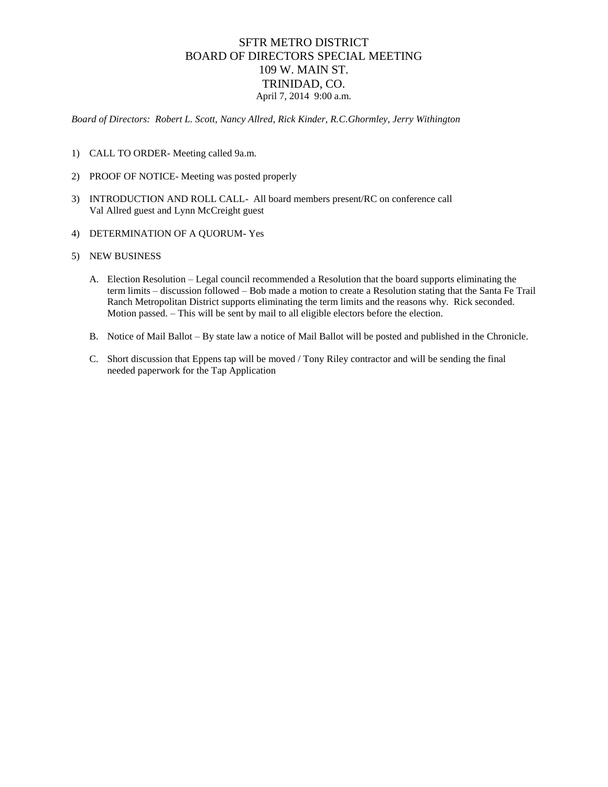#### SFTR METRO DISTRICT BOARD OF DIRECTORS SPECIAL MEETING 109 W. MAIN ST. TRINIDAD, CO. April 7, 2014 9:00 a.m.

*Board of Directors: Robert L. Scott, Nancy Allred, Rick Kinder, R.C.Ghormley, Jerry Withington*

- 1) CALL TO ORDER- Meeting called 9a.m.
- 2) PROOF OF NOTICE- Meeting was posted properly
- 3) INTRODUCTION AND ROLL CALL- All board members present/RC on conference call Val Allred guest and Lynn McCreight guest
- 4) DETERMINATION OF A QUORUM- Yes
- 5) NEW BUSINESS
	- A. Election Resolution Legal council recommended a Resolution that the board supports eliminating the term limits – discussion followed – Bob made a motion to create a Resolution stating that the Santa Fe Trail Ranch Metropolitan District supports eliminating the term limits and the reasons why. Rick seconded. Motion passed. – This will be sent by mail to all eligible electors before the election.
	- B. Notice of Mail Ballot By state law a notice of Mail Ballot will be posted and published in the Chronicle.
	- C. Short discussion that Eppens tap will be moved / Tony Riley contractor and will be sending the final needed paperwork for the Tap Application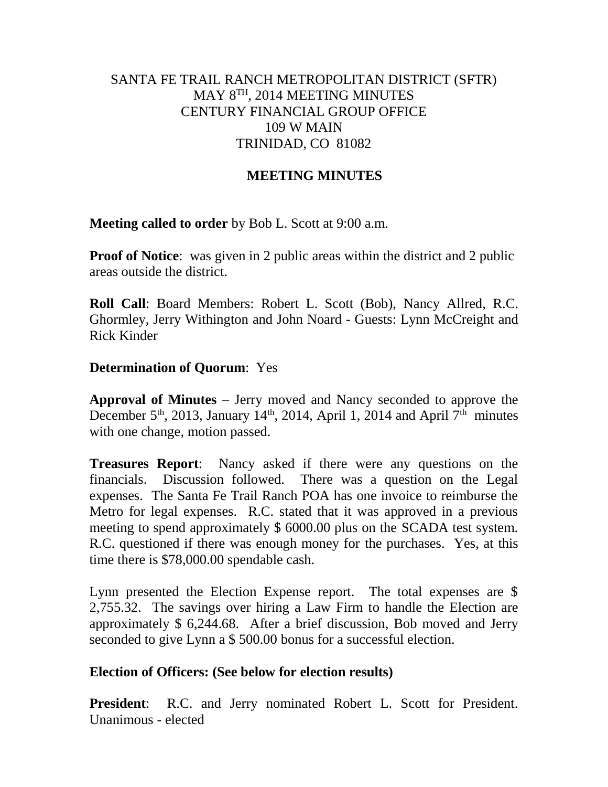## SANTA FE TRAIL RANCH METROPOLITAN DISTRICT (SFTR) MAY 8TH, 2014 MEETING MINUTES CENTURY FINANCIAL GROUP OFFICE 109 W MAIN TRINIDAD, CO 81082

## **MEETING MINUTES**

**Meeting called to order** by Bob L. Scott at 9:00 a.m.

**Proof of Notice**: was given in 2 public areas within the district and 2 public areas outside the district.

**Roll Call**: Board Members: Robert L. Scott (Bob), Nancy Allred, R.C. Ghormley, Jerry Withington and John Noard - Guests: Lynn McCreight and Rick Kinder

### **Determination of Quorum**: Yes

**Approval of Minutes** – Jerry moved and Nancy seconded to approve the December 5<sup>th</sup>, 2013, January 14<sup>th</sup>, 2014, April 1, 2014 and April 7<sup>th</sup> minutes with one change, motion passed.

**Treasures Report**: Nancy asked if there were any questions on the financials. Discussion followed. There was a question on the Legal expenses. The Santa Fe Trail Ranch POA has one invoice to reimburse the Metro for legal expenses. R.C. stated that it was approved in a previous meeting to spend approximately \$ 6000.00 plus on the SCADA test system. R.C. questioned if there was enough money for the purchases. Yes, at this time there is \$78,000.00 spendable cash.

Lynn presented the Election Expense report. The total expenses are \$ 2,755.32. The savings over hiring a Law Firm to handle the Election are approximately \$ 6,244.68. After a brief discussion, Bob moved and Jerry seconded to give Lynn a \$ 500.00 bonus for a successful election.

#### **Election of Officers: (See below for election results)**

**President**: R.C. and Jerry nominated Robert L. Scott for President. Unanimous - elected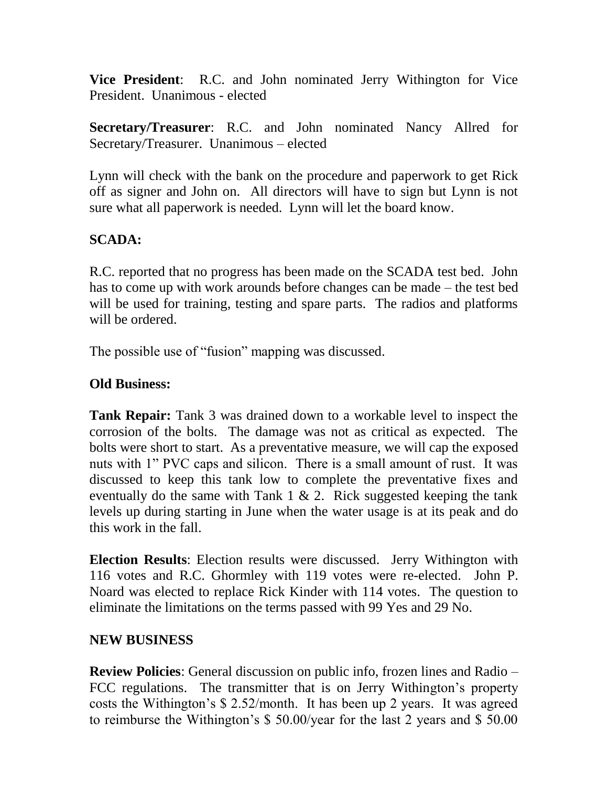**Vice President**: R.C. and John nominated Jerry Withington for Vice President. Unanimous - elected

**Secretary/Treasurer**: R.C. and John nominated Nancy Allred for Secretary/Treasurer. Unanimous – elected

Lynn will check with the bank on the procedure and paperwork to get Rick off as signer and John on. All directors will have to sign but Lynn is not sure what all paperwork is needed. Lynn will let the board know.

# **SCADA:**

R.C. reported that no progress has been made on the SCADA test bed. John has to come up with work arounds before changes can be made – the test bed will be used for training, testing and spare parts. The radios and platforms will be ordered.

The possible use of "fusion" mapping was discussed.

## **Old Business:**

**Tank Repair:** Tank 3 was drained down to a workable level to inspect the corrosion of the bolts. The damage was not as critical as expected. The bolts were short to start. As a preventative measure, we will cap the exposed nuts with 1" PVC caps and silicon. There is a small amount of rust. It was discussed to keep this tank low to complete the preventative fixes and eventually do the same with Tank 1  $\&$  2. Rick suggested keeping the tank levels up during starting in June when the water usage is at its peak and do this work in the fall.

**Election Results**: Election results were discussed. Jerry Withington with 116 votes and R.C. Ghormley with 119 votes were re-elected. John P. Noard was elected to replace Rick Kinder with 114 votes. The question to eliminate the limitations on the terms passed with 99 Yes and 29 No.

## **NEW BUSINESS**

**Review Policies**: General discussion on public info, frozen lines and Radio – FCC regulations. The transmitter that is on Jerry Withington's property costs the Withington's \$ 2.52/month. It has been up 2 years. It was agreed to reimburse the Withington's \$ 50.00/year for the last 2 years and \$ 50.00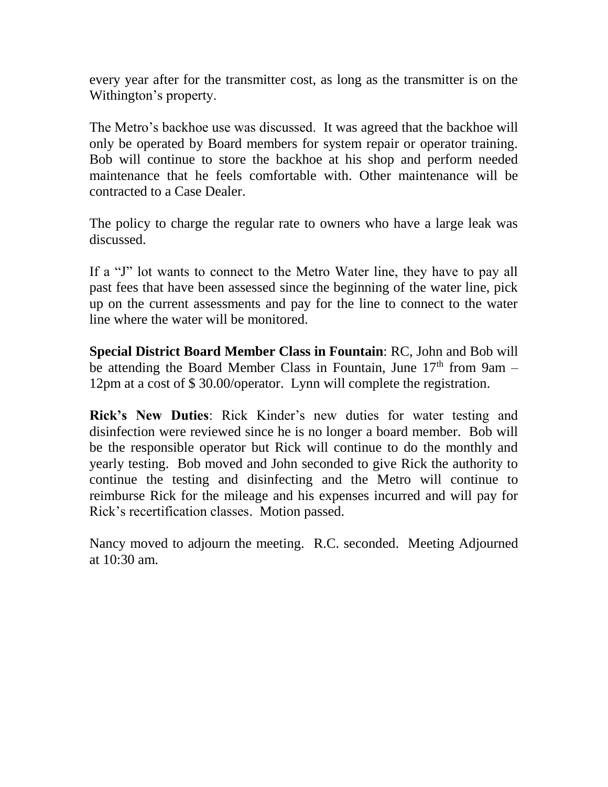every year after for the transmitter cost, as long as the transmitter is on the Withington's property.

The Metro's backhoe use was discussed. It was agreed that the backhoe will only be operated by Board members for system repair or operator training. Bob will continue to store the backhoe at his shop and perform needed maintenance that he feels comfortable with. Other maintenance will be contracted to a Case Dealer.

The policy to charge the regular rate to owners who have a large leak was discussed.

If a "J" lot wants to connect to the Metro Water line, they have to pay all past fees that have been assessed since the beginning of the water line, pick up on the current assessments and pay for the line to connect to the water line where the water will be monitored.

**Special District Board Member Class in Fountain**: RC, John and Bob will be attending the Board Member Class in Fountain, June  $17<sup>th</sup>$  from 9am – 12pm at a cost of \$ 30.00/operator. Lynn will complete the registration.

**Rick's New Duties**: Rick Kinder's new duties for water testing and disinfection were reviewed since he is no longer a board member. Bob will be the responsible operator but Rick will continue to do the monthly and yearly testing. Bob moved and John seconded to give Rick the authority to continue the testing and disinfecting and the Metro will continue to reimburse Rick for the mileage and his expenses incurred and will pay for Rick's recertification classes. Motion passed.

Nancy moved to adjourn the meeting. R.C. seconded. Meeting Adjourned at 10:30 am.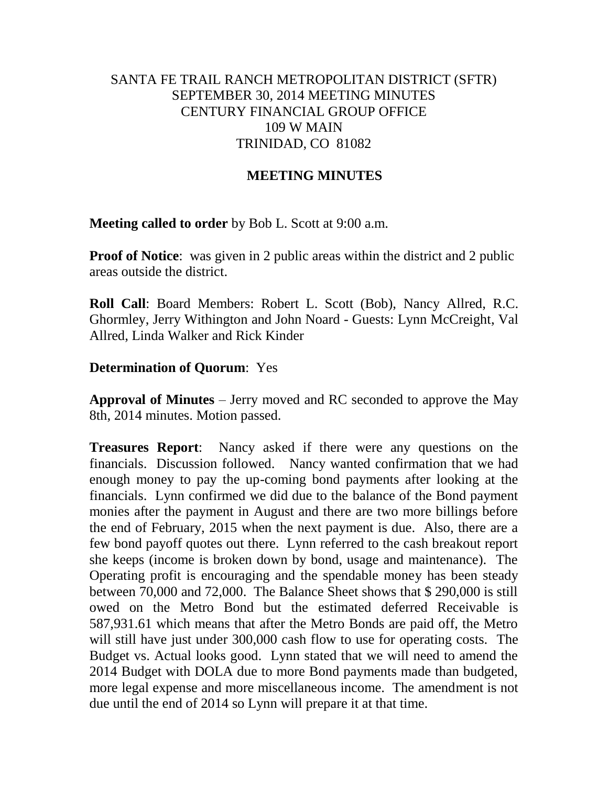## SANTA FE TRAIL RANCH METROPOLITAN DISTRICT (SFTR) SEPTEMBER 30, 2014 MEETING MINUTES CENTURY FINANCIAL GROUP OFFICE 109 W MAIN TRINIDAD, CO 81082

## **MEETING MINUTES**

**Meeting called to order** by Bob L. Scott at 9:00 a.m.

**Proof of Notice**: was given in 2 public areas within the district and 2 public areas outside the district.

**Roll Call**: Board Members: Robert L. Scott (Bob), Nancy Allred, R.C. Ghormley, Jerry Withington and John Noard - Guests: Lynn McCreight, Val Allred, Linda Walker and Rick Kinder

#### **Determination of Quorum**: Yes

**Approval of Minutes** – Jerry moved and RC seconded to approve the May 8th, 2014 minutes. Motion passed.

**Treasures Report**: Nancy asked if there were any questions on the financials. Discussion followed. Nancy wanted confirmation that we had enough money to pay the up-coming bond payments after looking at the financials. Lynn confirmed we did due to the balance of the Bond payment monies after the payment in August and there are two more billings before the end of February, 2015 when the next payment is due. Also, there are a few bond payoff quotes out there. Lynn referred to the cash breakout report she keeps (income is broken down by bond, usage and maintenance). The Operating profit is encouraging and the spendable money has been steady between 70,000 and 72,000. The Balance Sheet shows that \$ 290,000 is still owed on the Metro Bond but the estimated deferred Receivable is 587,931.61 which means that after the Metro Bonds are paid off, the Metro will still have just under 300,000 cash flow to use for operating costs. The Budget vs. Actual looks good. Lynn stated that we will need to amend the 2014 Budget with DOLA due to more Bond payments made than budgeted, more legal expense and more miscellaneous income. The amendment is not due until the end of 2014 so Lynn will prepare it at that time.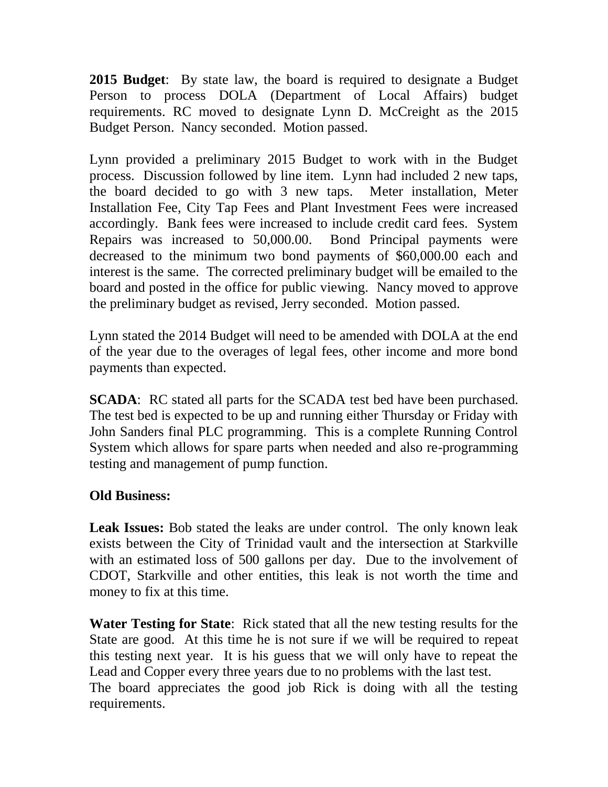**2015 Budget**: By state law, the board is required to designate a Budget Person to process DOLA (Department of Local Affairs) budget requirements. RC moved to designate Lynn D. McCreight as the 2015 Budget Person. Nancy seconded. Motion passed.

Lynn provided a preliminary 2015 Budget to work with in the Budget process. Discussion followed by line item. Lynn had included 2 new taps, the board decided to go with 3 new taps. Meter installation, Meter Installation Fee, City Tap Fees and Plant Investment Fees were increased accordingly. Bank fees were increased to include credit card fees. System Repairs was increased to 50,000.00. Bond Principal payments were decreased to the minimum two bond payments of \$60,000.00 each and interest is the same. The corrected preliminary budget will be emailed to the board and posted in the office for public viewing. Nancy moved to approve the preliminary budget as revised, Jerry seconded. Motion passed.

Lynn stated the 2014 Budget will need to be amended with DOLA at the end of the year due to the overages of legal fees, other income and more bond payments than expected.

**SCADA**: RC stated all parts for the SCADA test bed have been purchased. The test bed is expected to be up and running either Thursday or Friday with John Sanders final PLC programming. This is a complete Running Control System which allows for spare parts when needed and also re-programming testing and management of pump function.

# **Old Business:**

**Leak Issues:** Bob stated the leaks are under control. The only known leak exists between the City of Trinidad vault and the intersection at Starkville with an estimated loss of 500 gallons per day. Due to the involvement of CDOT, Starkville and other entities, this leak is not worth the time and money to fix at this time.

**Water Testing for State**: Rick stated that all the new testing results for the State are good. At this time he is not sure if we will be required to repeat this testing next year. It is his guess that we will only have to repeat the Lead and Copper every three years due to no problems with the last test. The board appreciates the good job Rick is doing with all the testing requirements.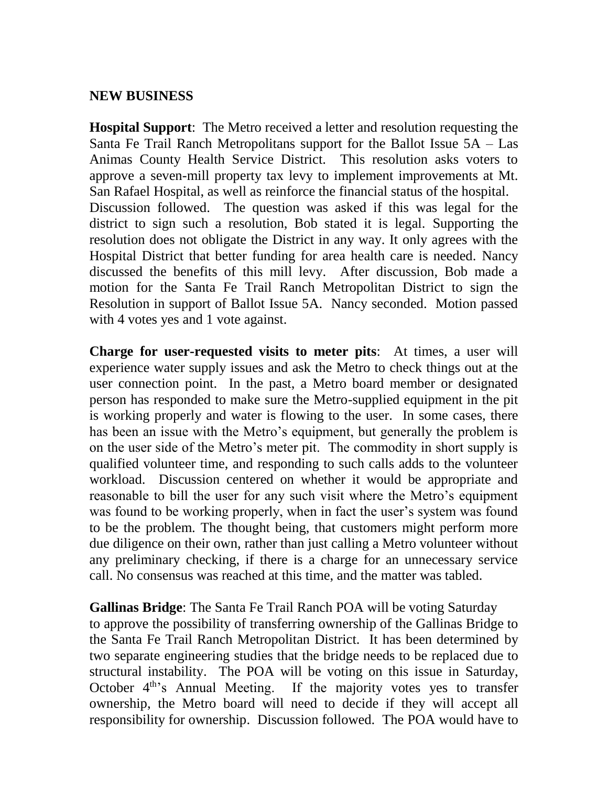### **NEW BUSINESS**

**Hospital Support**: The Metro received a letter and resolution requesting the Santa Fe Trail Ranch Metropolitans support for the Ballot Issue 5A – Las Animas County Health Service District. This resolution asks voters to approve a seven-mill property tax levy to implement improvements at Mt. San Rafael Hospital, as well as reinforce the financial status of the hospital. Discussion followed. The question was asked if this was legal for the district to sign such a resolution, Bob stated it is legal. Supporting the resolution does not obligate the District in any way. It only agrees with the Hospital District that better funding for area health care is needed. Nancy discussed the benefits of this mill levy. After discussion, Bob made a motion for the Santa Fe Trail Ranch Metropolitan District to sign the Resolution in support of Ballot Issue 5A. Nancy seconded. Motion passed with 4 votes yes and 1 vote against.

**Charge for user-requested visits to meter pits**: At times, a user will experience water supply issues and ask the Metro to check things out at the user connection point. In the past, a Metro board member or designated person has responded to make sure the Metro-supplied equipment in the pit is working properly and water is flowing to the user. In some cases, there has been an issue with the Metro's equipment, but generally the problem is on the user side of the Metro's meter pit. The commodity in short supply is qualified volunteer time, and responding to such calls adds to the volunteer workload. Discussion centered on whether it would be appropriate and reasonable to bill the user for any such visit where the Metro's equipment was found to be working properly, when in fact the user's system was found to be the problem. The thought being, that customers might perform more due diligence on their own, rather than just calling a Metro volunteer without any preliminary checking, if there is a charge for an unnecessary service call. No consensus was reached at this time, and the matter was tabled.

**Gallinas Bridge**: The Santa Fe Trail Ranch POA will be voting Saturday to approve the possibility of transferring ownership of the Gallinas Bridge to the Santa Fe Trail Ranch Metropolitan District. It has been determined by two separate engineering studies that the bridge needs to be replaced due to structural instability. The POA will be voting on this issue in Saturday, October 4<sup>th</sup>'s Annual Meeting. If the majority votes yes to transfer ownership, the Metro board will need to decide if they will accept all responsibility for ownership. Discussion followed. The POA would have to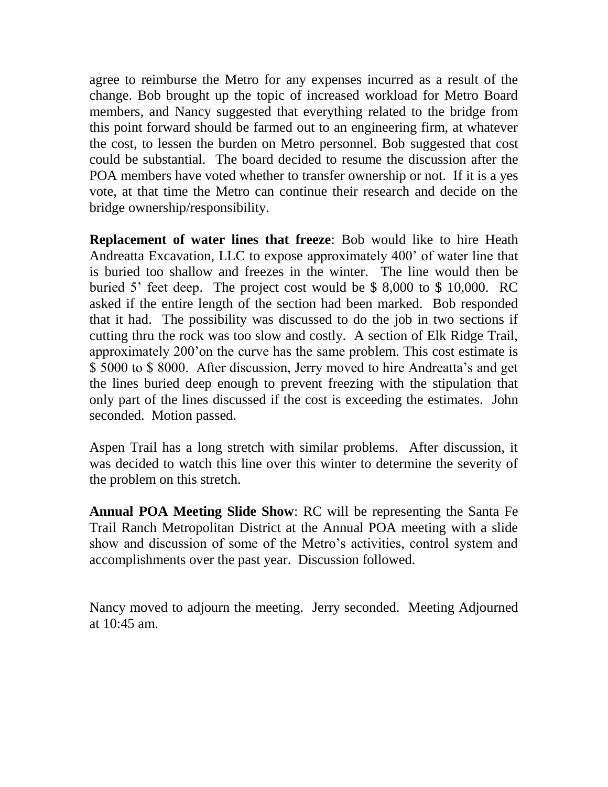agree to reimburse the Metro for any expenses incurred as a result of the change. Bob brought up the topic of increased workload for Metro Board members, and Nancy suggested that everything related to the bridge from this point forward should be farmed out to an engineering firm, at whatever the cost, to lessen the burden on Metro personnel. Bob suggested that cost could be substantial. The board decided to resume the discussion after the POA members have voted whether to transfer ownership or not. If it is a yes vote, at that time the Metro can continue their research and decide on the bridge ownership/responsibility.

**Replacement of water lines that freeze**: Bob would like to hire Heath Andreatta Excavation, LLC to expose approximately 400' of water line that is buried too shallow and freezes in the winter. The line would then be buried 5' feet deep. The project cost would be \$ 8,000 to \$ 10,000. RC asked if the entire length of the section had been marked. Bob responded that it had. The possibility was discussed to do the job in two sections if cutting thru the rock was too slow and costly. A section of Elk Ridge Trail, approximately 200'on the curve has the same problem. This cost estimate is \$ 5000 to \$ 8000. After discussion, Jerry moved to hire Andreatta's and get the lines buried deep enough to prevent freezing with the stipulation that only part of the lines discussed if the cost is exceeding the estimates. John seconded. Motion passed.

Aspen Trail has a long stretch with similar problems. After discussion, it was decided to watch this line over this winter to determine the severity of the problem on this stretch.

**Annual POA Meeting Slide Show**: RC will be representing the Santa Fe Trail Ranch Metropolitan District at the Annual POA meeting with a slide show and discussion of some of the Metro's activities, control system and accomplishments over the past year. Discussion followed.

Nancy moved to adjourn the meeting. Jerry seconded. Meeting Adjourned at 10:45 am.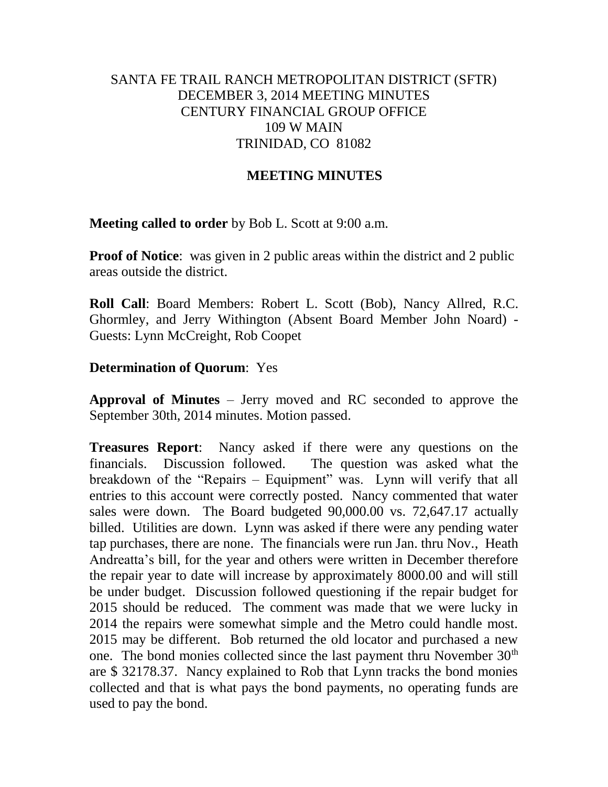## SANTA FE TRAIL RANCH METROPOLITAN DISTRICT (SFTR) DECEMBER 3, 2014 MEETING MINUTES CENTURY FINANCIAL GROUP OFFICE 109 W MAIN TRINIDAD, CO 81082

## **MEETING MINUTES**

**Meeting called to order** by Bob L. Scott at 9:00 a.m.

**Proof of Notice**: was given in 2 public areas within the district and 2 public areas outside the district.

**Roll Call**: Board Members: Robert L. Scott (Bob), Nancy Allred, R.C. Ghormley, and Jerry Withington (Absent Board Member John Noard) - Guests: Lynn McCreight, Rob Coopet

### **Determination of Quorum**: Yes

**Approval of Minutes** – Jerry moved and RC seconded to approve the September 30th, 2014 minutes. Motion passed.

**Treasures Report**: Nancy asked if there were any questions on the financials. Discussion followed. The question was asked what the breakdown of the "Repairs – Equipment" was. Lynn will verify that all entries to this account were correctly posted. Nancy commented that water sales were down. The Board budgeted 90,000.00 vs. 72,647.17 actually billed. Utilities are down. Lynn was asked if there were any pending water tap purchases, there are none. The financials were run Jan. thru Nov., Heath Andreatta's bill, for the year and others were written in December therefore the repair year to date will increase by approximately 8000.00 and will still be under budget. Discussion followed questioning if the repair budget for 2015 should be reduced. The comment was made that we were lucky in 2014 the repairs were somewhat simple and the Metro could handle most. 2015 may be different. Bob returned the old locator and purchased a new one. The bond monies collected since the last payment thru November  $30<sup>th</sup>$ are \$ 32178.37. Nancy explained to Rob that Lynn tracks the bond monies collected and that is what pays the bond payments, no operating funds are used to pay the bond.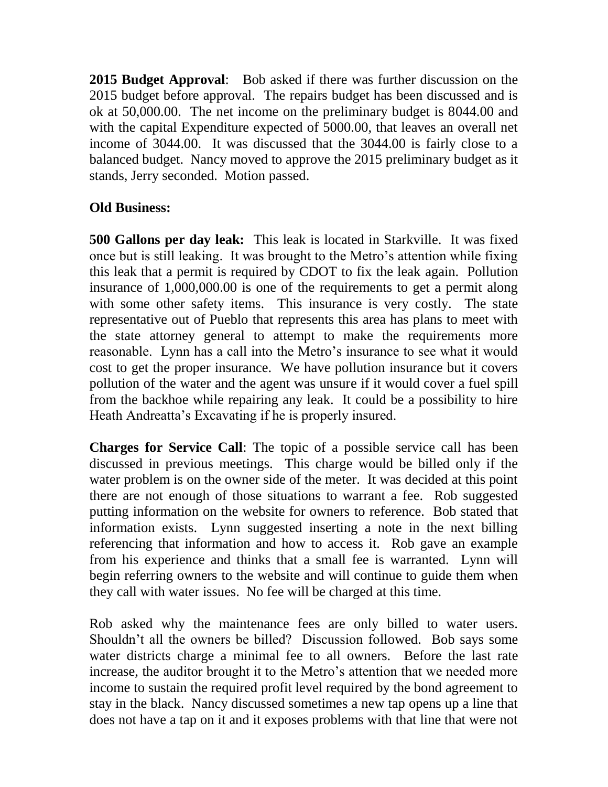**2015 Budget Approval**: Bob asked if there was further discussion on the 2015 budget before approval. The repairs budget has been discussed and is ok at 50,000.00. The net income on the preliminary budget is 8044.00 and with the capital Expenditure expected of 5000.00, that leaves an overall net income of 3044.00. It was discussed that the 3044.00 is fairly close to a balanced budget. Nancy moved to approve the 2015 preliminary budget as it stands, Jerry seconded. Motion passed.

# **Old Business:**

**500 Gallons per day leak:** This leak is located in Starkville. It was fixed once but is still leaking. It was brought to the Metro's attention while fixing this leak that a permit is required by CDOT to fix the leak again. Pollution insurance of 1,000,000.00 is one of the requirements to get a permit along with some other safety items. This insurance is very costly. The state representative out of Pueblo that represents this area has plans to meet with the state attorney general to attempt to make the requirements more reasonable. Lynn has a call into the Metro's insurance to see what it would cost to get the proper insurance. We have pollution insurance but it covers pollution of the water and the agent was unsure if it would cover a fuel spill from the backhoe while repairing any leak. It could be a possibility to hire Heath Andreatta's Excavating if he is properly insured.

**Charges for Service Call**: The topic of a possible service call has been discussed in previous meetings. This charge would be billed only if the water problem is on the owner side of the meter. It was decided at this point there are not enough of those situations to warrant a fee. Rob suggested putting information on the website for owners to reference. Bob stated that information exists. Lynn suggested inserting a note in the next billing referencing that information and how to access it. Rob gave an example from his experience and thinks that a small fee is warranted. Lynn will begin referring owners to the website and will continue to guide them when they call with water issues. No fee will be charged at this time.

Rob asked why the maintenance fees are only billed to water users. Shouldn't all the owners be billed? Discussion followed. Bob says some water districts charge a minimal fee to all owners. Before the last rate increase, the auditor brought it to the Metro's attention that we needed more income to sustain the required profit level required by the bond agreement to stay in the black. Nancy discussed sometimes a new tap opens up a line that does not have a tap on it and it exposes problems with that line that were not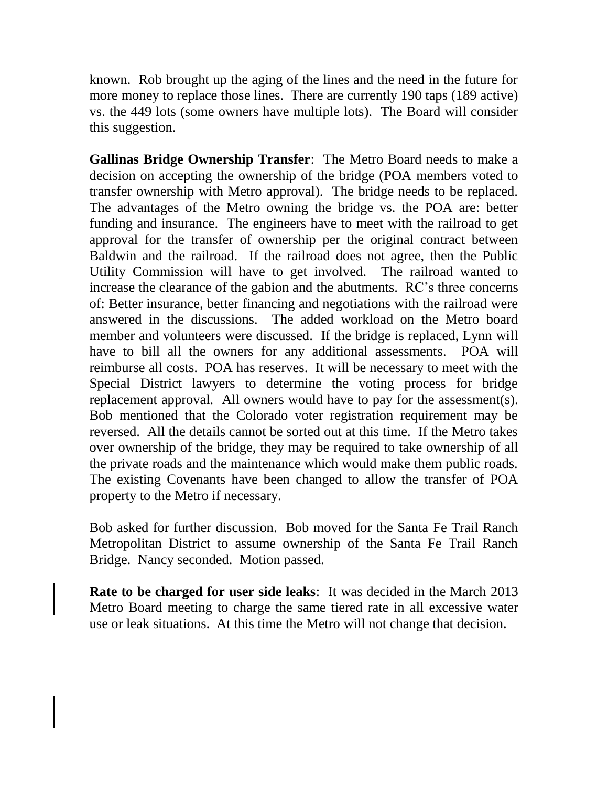known. Rob brought up the aging of the lines and the need in the future for more money to replace those lines. There are currently 190 taps (189 active) vs. the 449 lots (some owners have multiple lots). The Board will consider this suggestion.

**Gallinas Bridge Ownership Transfer**: The Metro Board needs to make a decision on accepting the ownership of the bridge (POA members voted to transfer ownership with Metro approval). The bridge needs to be replaced. The advantages of the Metro owning the bridge vs. the POA are: better funding and insurance. The engineers have to meet with the railroad to get approval for the transfer of ownership per the original contract between Baldwin and the railroad. If the railroad does not agree, then the Public Utility Commission will have to get involved. The railroad wanted to increase the clearance of the gabion and the abutments. RC's three concerns of: Better insurance, better financing and negotiations with the railroad were answered in the discussions. The added workload on the Metro board member and volunteers were discussed. If the bridge is replaced, Lynn will have to bill all the owners for any additional assessments. POA will reimburse all costs. POA has reserves. It will be necessary to meet with the Special District lawyers to determine the voting process for bridge replacement approval. All owners would have to pay for the assessment(s). Bob mentioned that the Colorado voter registration requirement may be reversed. All the details cannot be sorted out at this time. If the Metro takes over ownership of the bridge, they may be required to take ownership of all the private roads and the maintenance which would make them public roads. The existing Covenants have been changed to allow the transfer of POA property to the Metro if necessary.

Bob asked for further discussion. Bob moved for the Santa Fe Trail Ranch Metropolitan District to assume ownership of the Santa Fe Trail Ranch Bridge. Nancy seconded. Motion passed.

**Rate to be charged for user side leaks**: It was decided in the March 2013 Metro Board meeting to charge the same tiered rate in all excessive water use or leak situations. At this time the Metro will not change that decision.